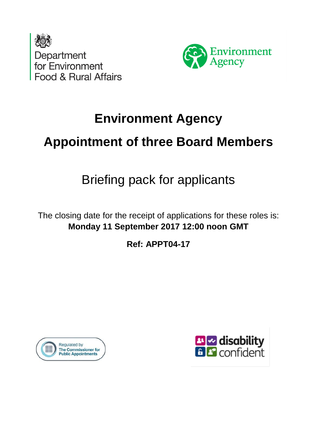



# **Environment Agency**

# **Appointment of three Board Members**

# Briefing pack for applicants

The closing date for the receipt of applications for these roles is: **Monday 11 September 2017 12:00 noon GMT**

**Ref: APPT04-17**



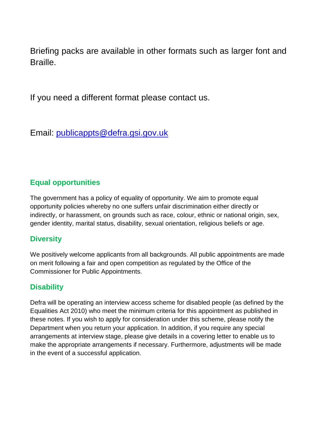Briefing packs are available in other formats such as larger font and **Braille** 

If you need a different format please contact us.

Email: [publicappts@defra.gsi.gov.uk](mailto:publicappts@defra.gsi.gov.uk)

### **Equal opportunities**

The government has a policy of equality of opportunity. We aim to promote equal opportunity policies whereby no one suffers unfair discrimination either directly or indirectly, or harassment, on grounds such as race, colour, ethnic or national origin, sex, gender identity, marital status, disability, sexual orientation, religious beliefs or age.

### **Diversity**

We positively welcome applicants from all backgrounds. All public appointments are made on merit following a fair and open competition as regulated by the Office of the Commissioner for Public Appointments.

### **Disability**

Defra will be operating an interview access scheme for disabled people (as defined by the Equalities Act 2010) who meet the minimum criteria for this appointment as published in these notes. If you wish to apply for consideration under this scheme, please notify the Department when you return your application. In addition, if you require any special arrangements at interview stage, please give details in a covering letter to enable us to make the appropriate arrangements if necessary. Furthermore, adjustments will be made in the event of a successful application.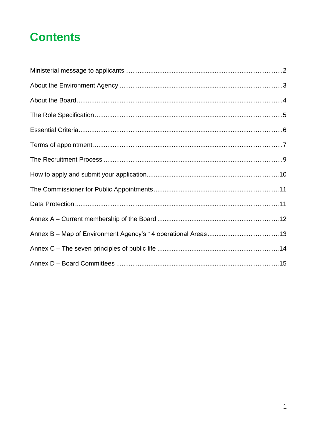## **Contents**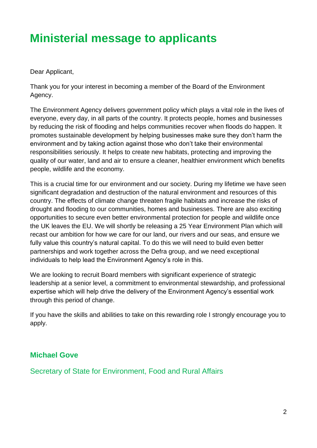## <span id="page-3-0"></span>**Ministerial message to applicants**

Dear Applicant,

Thank you for your interest in becoming a member of the Board of the Environment Agency.

The Environment Agency delivers government policy which plays a vital role in the lives of everyone, every day, in all parts of the country. It protects people, homes and businesses by reducing the risk of flooding and helps communities recover when floods do happen. It promotes sustainable development by helping businesses make sure they don't harm the environment and by taking action against those who don't take their environmental responsibilities seriously. It helps to create new habitats, protecting and improving the quality of our water, land and air to ensure a cleaner, healthier environment which benefits people, wildlife and the economy.

This is a crucial time for our environment and our society. During my lifetime we have seen significant degradation and destruction of the natural environment and resources of this country. The effects of climate change threaten fragile habitats and increase the risks of drought and flooding to our communities, homes and businesses. There are also exciting opportunities to secure even better environmental protection for people and wildlife once the UK leaves the EU. We will shortly be releasing a 25 Year Environment Plan which will recast our ambition for how we care for our land, our rivers and our seas, and ensure we fully value this country's natural capital. To do this we will need to build even better partnerships and work together across the Defra group, and we need exceptional individuals to help lead the Environment Agency's role in this.

We are looking to recruit Board members with significant experience of strategic leadership at a senior level, a commitment to environmental stewardship, and professional expertise which will help drive the delivery of the Environment Agency's essential work through this period of change.

If you have the skills and abilities to take on this rewarding role I strongly encourage you to apply.

### **Michael Gove**

Secretary of State for Environment, Food and Rural Affairs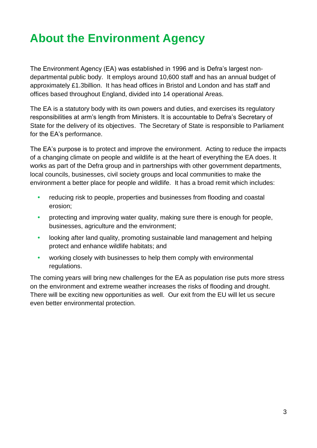# <span id="page-4-0"></span>**About the Environment Agency**

The Environment Agency (EA) was established in 1996 and is Defra's largest nondepartmental public body. It employs around 10,600 staff and has an annual budget of approximately £1.3billion. It has head offices in Bristol and London and has staff and offices based throughout England, divided into 14 operational Areas.

The EA is a statutory body with its own powers and duties, and exercises its regulatory responsibilities at arm's length from Ministers. It is accountable to Defra's Secretary of State for the delivery of its objectives. The Secretary of State is responsible to Parliament for the EA's performance.

The EA's purpose is to protect and improve the environment. Acting to reduce the impacts of a changing climate on people and wildlife is at the heart of everything the EA does. It works as part of the Defra group and in partnerships with other government departments, local councils, businesses, civil society groups and local communities to make the environment a better place for people and wildlife. It has a broad remit which includes:

- **•** reducing risk to people, properties and businesses from flooding and coastal erosion;
- **•** protecting and improving water quality, making sure there is enough for people, businesses, agriculture and the environment;
- **•** looking after land quality, promoting sustainable land management and helping protect and enhance wildlife habitats; and
- **•** working closely with businesses to help them comply with environmental regulations.

The coming years will bring new challenges for the EA as population rise puts more stress on the environment and extreme weather increases the risks of flooding and drought. There will be exciting new opportunities as well. Our exit from the EU will let us secure even better environmental protection.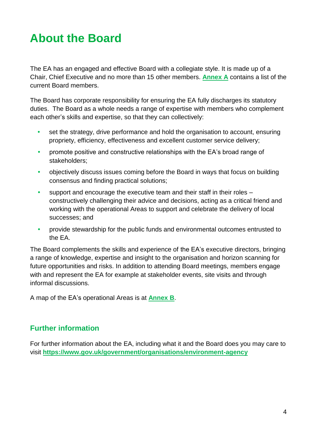## <span id="page-5-0"></span>**About the Board**

The EA has an engaged and effective Board with a collegiate style. It is made up of a Chair, Chief Executive and no more than 15 other members. **[Annex A](#page-12-2)** contains a list of the current Board members.

The Board has corporate responsibility for ensuring the EA fully discharges its statutory duties. The Board as a whole needs a range of expertise with members who complement each other's skills and expertise, so that they can collectively:

- **•** set the strategy, drive performance and hold the organisation to account, ensuring propriety, efficiency, effectiveness and excellent customer service delivery;
- **•** promote positive and constructive relationships with the EA's broad range of stakeholders;
- **•** objectively discuss issues coming before the Board in ways that focus on building consensus and finding practical solutions;
- **•** support and encourage the executive team and their staff in their roles constructively challenging their advice and decisions, acting as a critical friend and working with the operational Areas to support and celebrate the delivery of local successes; and
- **•** provide stewardship for the public funds and environmental outcomes entrusted to the EA.

The Board complements the skills and experience of the EA's executive directors, bringing a range of knowledge, expertise and insight to the organisation and horizon scanning for future opportunities and risks. In addition to attending Board meetings, members engage with and represent the EA for example at stakeholder events, site visits and through informal discussions.

A map of the EA's operational Areas is at **[Annex B](#page-13-1)**.

### **Further information**

For further information about the EA, including what it and the Board does you may care to visit **<https://www.gov.uk/government/organisations/environment-agency>**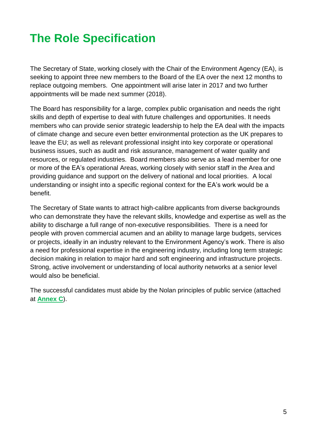## <span id="page-6-0"></span>**The Role Specification**

The Secretary of State, working closely with the Chair of the Environment Agency (EA), is seeking to appoint three new members to the Board of the EA over the next 12 months to replace outgoing members. One appointment will arise later in 2017 and two further appointments will be made next summer (2018).

The Board has responsibility for a large, complex public organisation and needs the right skills and depth of expertise to deal with future challenges and opportunities. It needs members who can provide senior strategic leadership to help the EA deal with the impacts of climate change and secure even better environmental protection as the UK prepares to leave the EU; as well as relevant professional insight into key corporate or operational business issues, such as audit and risk assurance, management of water quality and resources, or regulated industries. Board members also serve as a lead member for one or more of the EA's operational Areas, working closely with senior staff in the Area and providing guidance and support on the delivery of national and local priorities. A local understanding or insight into a specific regional context for the EA's work would be a benefit.

The Secretary of State wants to attract high-calibre applicants from diverse backgrounds who can demonstrate they have the relevant skills, knowledge and expertise as well as the ability to discharge a full range of non-executive responsibilities. There is a need for people with proven commercial acumen and an ability to manage large budgets, services or projects, ideally in an industry relevant to the Environment Agency's work. There is also a need for professional expertise in the engineering industry, including long term strategic decision making in relation to major hard and soft engineering and infrastructure projects. Strong, active involvement or understanding of local authority networks at a senior level would also be beneficial.

The successful candidates must abide by the Nolan principles of public service (attached at **Annex C**).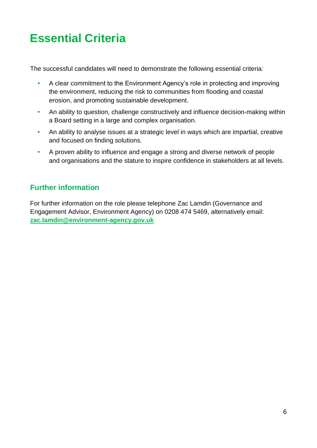## <span id="page-7-0"></span>**Essential Criteria**

The successful candidates will need to demonstrate the following essential criteria:

- **•** A clear commitment to the Environment Agency's role in protecting and improving the environment, reducing the risk to communities from flooding and coastal erosion, and promoting sustainable development.
- **•** An ability to question, challenge constructively and influence decision-making within a Board setting in a large and complex organisation.
- **•** An ability to analyse issues at a strategic level in ways which are impartial, creative and focused on finding solutions.
- **•** A proven ability to influence and engage a strong and diverse network of people and organisations and the stature to inspire confidence in stakeholders at all levels.

### **Further information**

For further information on the role please telephone Zac Lamdin (Governance and Engagement Advisor, Environment Agency) on 0208 474 5469, alternatively email: **[zac.lamdin@environment-agency.gov.uk](mailto:zac.lamdin@environment-agency.gov.uk)**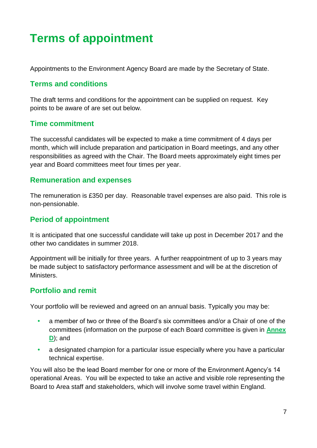# <span id="page-8-0"></span>**Terms of appointment**

Appointments to the Environment Agency Board are made by the Secretary of State.

### **Terms and conditions**

The draft terms and conditions for the appointment can be supplied on request. Key points to be aware of are set out below.

### **Time commitment**

The successful candidates will be expected to make a time commitment of 4 days per month, which will include preparation and participation in Board meetings, and any other responsibilities as agreed with the Chair. The Board meets approximately eight times per year and Board committees meet four times per year.

### **Remuneration and expenses**

The remuneration is £350 per day. Reasonable travel expenses are also paid. This role is non-pensionable.

### **Period of appointment**

It is anticipated that one successful candidate will take up post in December 2017 and the other two candidates in summer 2018.

Appointment will be initially for three years. A further reappointment of up to 3 years may be made subject to satisfactory performance assessment and will be at the discretion of Ministers.

### **Portfolio and remit**

Your portfolio will be reviewed and agreed on an annual basis. Typically you may be:

- **•** a member of two or three of the Board's six committees and/or a Chair of one of the committees (information on the purpose of each Board committee is given in **[Annex](#page-15-1)  [D](#page-15-1)**); and
- **•** a designated champion for a particular issue especially where you have a particular technical expertise.

You will also be the lead Board member for one or more of the Environment Agency's 14 operational Areas. You will be expected to take an active and visible role representing the Board to Area staff and stakeholders, which will involve some travel within England.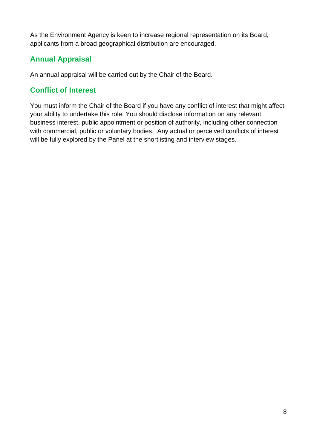As the Environment Agency is keen to increase regional representation on its Board, applicants from a broad geographical distribution are encouraged.

### **Annual Appraisal**

An annual appraisal will be carried out by the Chair of the Board.

### **Conflict of Interest**

You must inform the Chair of the Board if you have any conflict of interest that might affect your ability to undertake this role. You should disclose information on any relevant business interest, public appointment or position of authority, including other connection with commercial, public or voluntary bodies. Any actual or perceived conflicts of interest will be fully explored by the Panel at the shortlisting and interview stages.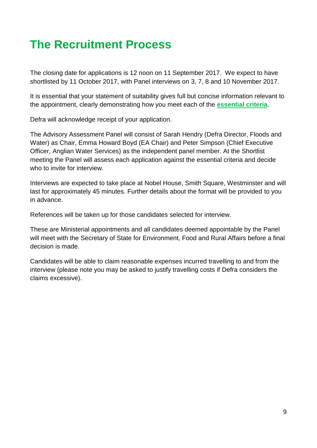## <span id="page-10-0"></span>**The Recruitment Process**

The closing date for applications is 12 noon on 11 September 2017. We expect to have shortlisted by 11 October 2017, with Panel interviews on 3, 7, 8 and 10 November 2017.

It is essential that your statement of suitability gives full but concise information relevant to the appointment, clearly demonstrating how you meet each of the **[essential criteria](#page-7-0)**.

Defra will acknowledge receipt of your application.

The Advisory Assessment Panel will consist of Sarah Hendry (Defra Director, Floods and Water) as Chair, Emma Howard Boyd (EA Chair) and Peter Simpson (Chief Executive Officer, Anglian Water Services) as the independent panel member. At the Shortlist meeting the Panel will assess each application against the essential criteria and decide who to invite for interview.

Interviews are expected to take place at Nobel House, Smith Square, Westminster and will last for approximately 45 minutes. Further details about the format will be provided to you in advance.

References will be taken up for those candidates selected for interview.

These are Ministerial appointments and all candidates deemed appointable by the Panel will meet with the Secretary of State for Environment, Food and Rural Affairs before a final decision is made.

Candidates will be able to claim reasonable expenses incurred travelling to and from the interview (please note you may be asked to justify travelling costs if Defra considers the claims excessive).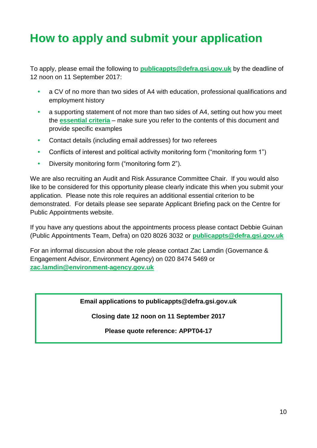## <span id="page-11-0"></span>**How to apply and submit your application**

To apply, please email the following to **[publicappts@defra.gsi.gov.uk](mailto:publicappts@defra.gsi.gov.uk)** by the deadline of 12 noon on 11 September 2017:

- **•** a CV of no more than two sides of A4 with education, professional qualifications and employment history
- **•** a supporting statement of not more than two sides of A4, setting out how you meet the **[essential criteria](#page-7-0)** – make sure you refer to the contents of this document and provide specific examples
- **•** Contact details (including email addresses) for two referees
- **•** Conflicts of interest and political activity monitoring form ("monitoring form 1")
- **•** Diversity monitoring form ("monitoring form 2").

We are also recruiting an Audit and Risk Assurance Committee Chair. If you would also like to be considered for this opportunity please clearly indicate this when you submit your application. Please note this role requires an additional essential criterion to be demonstrated. For details please see separate Applicant Briefing pack on the Centre for Public Appointments website.

If you have any questions about the appointments process please contact Debbie Guinan (Public Appointments Team, Defra) on 020 8026 3032 or **[publicappts@defra.gsi.gov.uk](mailto:publicappts@defra.gsi.gov.uk)**

For an informal discussion about the role please contact Zac Lamdin (Governance & Engagement Advisor, Environment Agency) on 020 8474 5469 or **[zac.lamdin@environment-agency.gov.uk](mailto:zac.lamdin@environment-agency.gov.uk)**

**Email applications to publicappts@defra.gsi.gov.uk**

**Closing date 12 noon on 11 September 2017**

**Please quote reference: APPT04-17**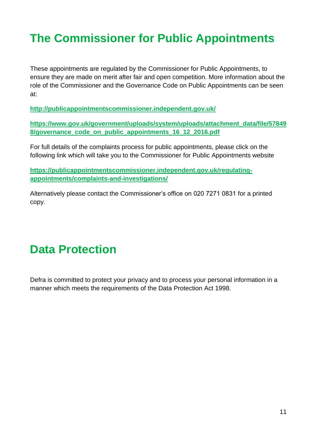# <span id="page-12-0"></span>**The Commissioner for Public Appointments**

These appointments are regulated by the Commissioner for Public Appointments, to ensure they are made on merit after fair and open competition. More information about the role of the Commissioner and the Governance Code on Public Appointments can be seen at:

**<http://publicappointmentscommissioner.independent.gov.uk/>**

**[https://www.gov.uk/government/uploads/system/uploads/attachment\\_data/file/57849](https://www.gov.uk/government/uploads/system/uploads/attachment_data/file/578498/governance_code_on_public_appointments_16_12_2016.pdf) [8/governance\\_code\\_on\\_public\\_appointments\\_16\\_12\\_2016.pdf](https://www.gov.uk/government/uploads/system/uploads/attachment_data/file/578498/governance_code_on_public_appointments_16_12_2016.pdf)** 

For full details of the complaints process for public appointments, please click on the following link which will take you to the Commissioner for Public Appointments website

**[https://publicappointmentscommissioner.independent.gov.uk/regulating](https://publicappointmentscommissioner.independent.gov.uk/regulating-appointments/complaints-and-investigations/)[appointments/complaints-and-investigations/](https://publicappointmentscommissioner.independent.gov.uk/regulating-appointments/complaints-and-investigations/)**

Alternatively please contact the Commissioner's office on 020 7271 0831 for a printed copy.

### <span id="page-12-1"></span>**Data Protection**

<span id="page-12-2"></span>Defra is committed to protect your privacy and to process your personal information in a manner which meets the requirements of the Data Protection Act 1998.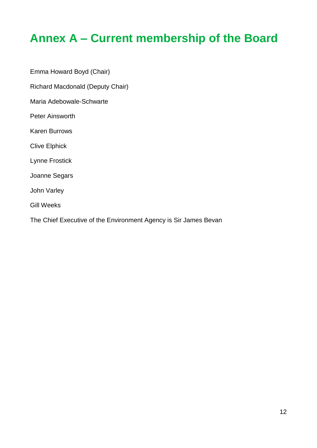## <span id="page-13-0"></span>**Annex A – Current membership of the Board**

<span id="page-13-1"></span>Emma Howard Boyd (Chair) Richard Macdonald (Deputy Chair) Maria Adebowale-Schwarte Peter Ainsworth Karen Burrows Clive Elphick Lynne Frostick Joanne Segars John Varley Gill Weeks The Chief Executive of the Environment Agency is Sir James Bevan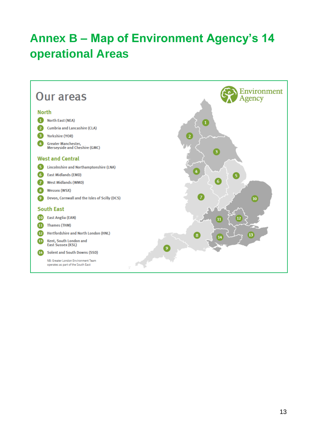# <span id="page-14-0"></span>**Annex B – Map of Environment Agency's 14 operational Areas**

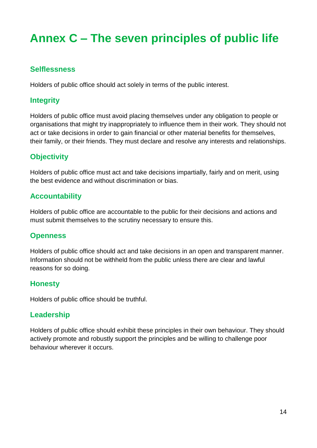# <span id="page-15-0"></span>**Annex C – The seven principles of public life**

#### **Selflessness**

Holders of public office should act solely in terms of the public interest.

### **Integrity**

Holders of public office must avoid placing themselves under any obligation to people or organisations that might try inappropriately to influence them in their work. They should not act or take decisions in order to gain financial or other material benefits for themselves, their family, or their friends. They must declare and resolve any interests and relationships.

### **Objectivity**

Holders of public office must act and take decisions impartially, fairly and on merit, using the best evidence and without discrimination or bias.

### **Accountability**

Holders of public office are accountable to the public for their decisions and actions and must submit themselves to the scrutiny necessary to ensure this.

#### **Openness**

Holders of public office should act and take decisions in an open and transparent manner. Information should not be withheld from the public unless there are clear and lawful reasons for so doing.

#### **Honesty**

Holders of public office should be truthful.

### **Leadership**

<span id="page-15-1"></span>Holders of public office should exhibit these principles in their own behaviour. They should actively promote and robustly support the principles and be willing to challenge poor behaviour wherever it occurs.